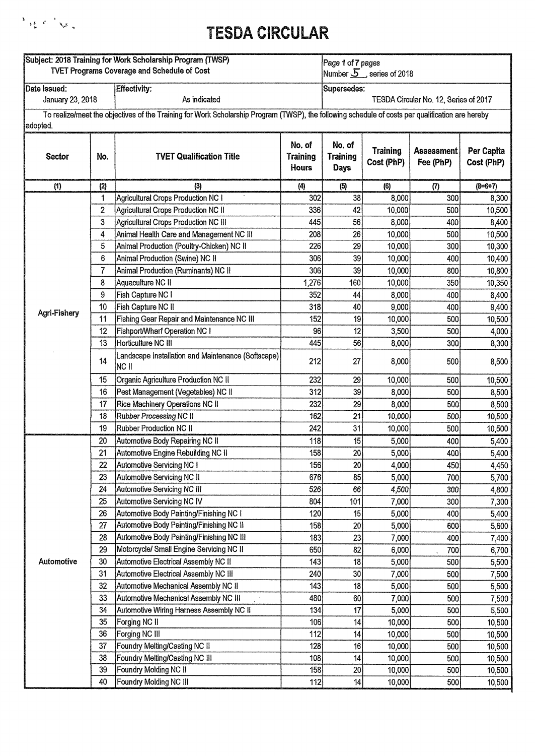

| Subject: 2018 Training for Work Scholarship Program (TWSP)<br><b>TVET Programs Coverage and Schedule of Cost</b> |          |                                                                                                                                                  |                                    | Page 1 of 7 pages<br>Number $5$ , series of 2018 |                               |                                       |                          |
|------------------------------------------------------------------------------------------------------------------|----------|--------------------------------------------------------------------------------------------------------------------------------------------------|------------------------------------|--------------------------------------------------|-------------------------------|---------------------------------------|--------------------------|
| Date Issued:<br>January 23, 2018                                                                                 |          | Effectivity:<br>As indicated                                                                                                                     |                                    | Supersedes:                                      |                               | TESDA Circular No. 12, Series of 2017 |                          |
| adopted.                                                                                                         |          | To realize/meet the objectives of the Training for Work Scholarship Program (TWSP), the following schedule of costs per qualification are hereby |                                    |                                                  |                               |                                       |                          |
| <b>Sector</b>                                                                                                    | No.      | <b>TVET Qualification Title</b>                                                                                                                  | No. of<br><b>Training</b><br>Hours | No. of<br><b>Training</b><br><b>Days</b>         | <b>Training</b><br>Cost (PhP) | <b>Assessment</b><br>Fee (PhP)        | Per Capita<br>Cost (PhP) |
| (1)                                                                                                              | (2)      | (3)                                                                                                                                              | (4)                                | (5)                                              | (6)                           | (7)                                   | $(8=6+7)$                |
|                                                                                                                  | 1        | <b>Agricultural Crops Production NC I</b>                                                                                                        | 302                                | 38                                               | 8,000                         | 300                                   | 8,300                    |
|                                                                                                                  | 2        | <b>Agricultural Crops Production NC II</b>                                                                                                       | 336                                | 42                                               | 10,000                        | 500                                   | 10,500                   |
|                                                                                                                  | 3        | <b>Agricultural Crops Production NC III</b>                                                                                                      | 445                                | 56                                               | 8,000                         | 400                                   | 8,400                    |
|                                                                                                                  | 4        | Animal Health Care and Management NC III                                                                                                         | 208                                | 26                                               | 10,000                        | 500                                   | 10,500                   |
|                                                                                                                  | 5        | Animal Production (Poultry-Chicken) NC II                                                                                                        | 226                                | 29                                               | 10,000                        | 300                                   | 10,300                   |
|                                                                                                                  | 6        | Animal Production (Swine) NC II                                                                                                                  | 306                                | 39                                               | 10,000                        | 400                                   | 10,400                   |
|                                                                                                                  | 7        | Animal Production (Ruminants) NC II                                                                                                              | 306                                | 39                                               | 10,000                        | 800                                   | 10,800                   |
|                                                                                                                  | 8        | Aquaculture NC II                                                                                                                                | 1,276                              | 160                                              | 10,000                        | 350                                   | 10,350                   |
|                                                                                                                  | 9        | Fish Capture NC I                                                                                                                                | 352                                | 44                                               | 8,000                         | 400                                   | 8,400                    |
| Agri-Fishery                                                                                                     | 10       | Fish Capture NC II                                                                                                                               | 318                                | 40                                               | 9,000                         | 400                                   | 9,400                    |
|                                                                                                                  | 11       | Fishing Gear Repair and Maintenance NC III                                                                                                       | 152                                | 19                                               | 10,000                        | 500                                   | 10,500                   |
|                                                                                                                  | 12       | Fishport/Wharf Operation NC I                                                                                                                    | 96                                 | 12                                               | 3,500                         | 500                                   | 4,000                    |
|                                                                                                                  | 13       | Horticulture NC III                                                                                                                              | 445                                | 56                                               | 8,000                         | 300                                   | 8,300                    |
|                                                                                                                  | 14       | Landscape Installation and Maintenance (Softscape)<br>NC II                                                                                      | 212                                | 27                                               | 8,000                         | 500                                   | 8,500                    |
|                                                                                                                  | 15       | Organic Agriculture Production NC II                                                                                                             | 232                                | 29                                               | 10,000                        | 500                                   | 10,500                   |
|                                                                                                                  | 16       | Pest Management (Vegetables) NC II                                                                                                               | 312                                | 39                                               | 8,000                         | 500                                   | 8,500                    |
|                                                                                                                  | 17       | Rice Machinery Operations NC II                                                                                                                  | 232                                | 29                                               | 8,000                         | 500                                   | 8,500                    |
|                                                                                                                  | 18       | Rubber Processing NC II                                                                                                                          | 162                                | 21                                               | 10,000                        | 500                                   | 10,500                   |
|                                                                                                                  | 19       | <b>Rubber Production NC II</b>                                                                                                                   | 242                                | 31                                               | 10,000                        | 500                                   | 10,500                   |
|                                                                                                                  | 20       | Automotive Body Repairing NC II                                                                                                                  | 118                                | 15                                               | 5,000                         | 400                                   | 5,400                    |
|                                                                                                                  | 21       | Automotive Engine Rebuilding NC II                                                                                                               | 158                                | 20 <sup>1</sup>                                  | 5,000                         | 400                                   | 5,400                    |
|                                                                                                                  | 22       | Automotive Servicing NC I                                                                                                                        | 156                                | 20                                               | 4,000                         | 450                                   | 4,450                    |
|                                                                                                                  | 23       | Automotive Servicing NC II                                                                                                                       | 676                                | 85                                               | 5,000                         | 700                                   | 5,700                    |
|                                                                                                                  | 24       | Automotive Servicing NC III                                                                                                                      | 526                                | 66                                               | 4,500                         | 300                                   | 4,800                    |
|                                                                                                                  | 25       | Automotive Servicing NC IV                                                                                                                       | 804                                | 101                                              | 7,000                         | 300                                   | 7,300                    |
|                                                                                                                  | 26       | Automotive Body Painting/Finishing NC I                                                                                                          | 120                                | 15                                               | 5,000                         | 400                                   | 5,400                    |
|                                                                                                                  | 27       | Automotive Body Painting/Finishing NC II                                                                                                         | 158                                | 20 <sup>1</sup>                                  | 5,000                         | 600                                   | 5,600                    |
|                                                                                                                  | 28       | Automotive Body Painting/Finishing NC III                                                                                                        | 183                                | 23                                               | 7,000                         | 400                                   | 7,400                    |
|                                                                                                                  | 29       | Motorcycle/ Small Engine Servicing NC II                                                                                                         | 650                                | 82                                               | 6,000                         | 700                                   | 6,700                    |
| Automotive                                                                                                       | 30       | Automotive Electrical Assembly NC II                                                                                                             | 143                                | 18                                               | 5,000                         | 500                                   | 5,500                    |
|                                                                                                                  | 31       | Automotive Electrical Assembly NC III                                                                                                            | 240                                | 30                                               | 7,000                         | 500                                   | 7,500                    |
|                                                                                                                  | 32       | Automotive Mechanical Assembly NC II                                                                                                             | 143                                | 18                                               | 5,000                         | 500                                   | 5,500                    |
|                                                                                                                  | 33       | <b>Automotive Mechanical Assembly NC III</b>                                                                                                     | 480                                | 60                                               | 7,000                         | 500                                   | 7,500                    |
|                                                                                                                  | 34       | Automotive Wiring Harness Assembly NC II                                                                                                         | 134                                | 17                                               | 5,000                         | 500                                   | 5,500                    |
|                                                                                                                  | 35<br>36 | Forging NC II                                                                                                                                    | 106                                | 14                                               | 10,000                        | 500                                   | 10,500                   |
|                                                                                                                  | 37       | Forging NC III<br>Foundry Melting/Casting NC II                                                                                                  | 112<br>128                         | 14<br>16                                         | 10,000                        | 500                                   | 10,500                   |
|                                                                                                                  | 38       | Foundry Melting/Casting NC III                                                                                                                   | 108                                | 14                                               | 10,000                        | 500<br>500                            | 10,500                   |
|                                                                                                                  | 39       | Foundry Molding NC II                                                                                                                            | 158                                | 20                                               | 10,000<br>10,000              | 500                                   | 10,500                   |
|                                                                                                                  | 40       | Foundry Molding NC III                                                                                                                           | 112                                | 14                                               | 10,000                        | 500                                   | 10,500<br>10,500         |
|                                                                                                                  |          |                                                                                                                                                  |                                    |                                                  |                               |                                       |                          |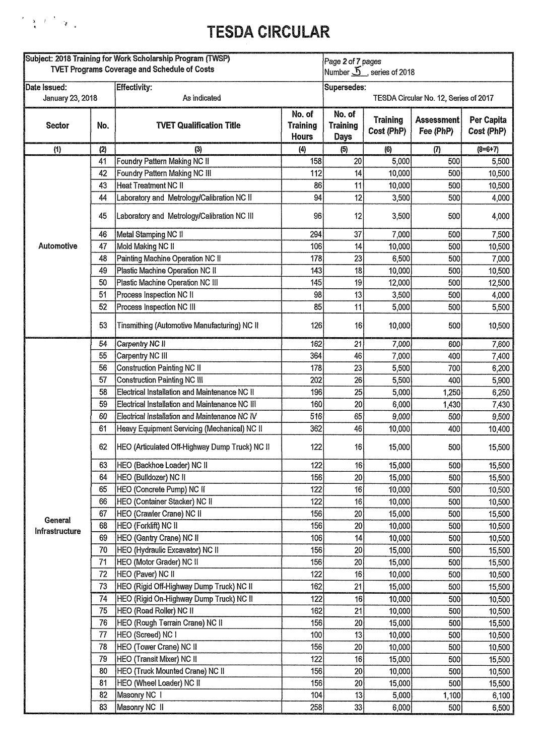#### $\label{eq:R1} \begin{array}{c} \mathcal{F}=\frac{1}{2} \left( \begin{array}{cc} \mathcal{F} & \mathcal{F} \\ \mathcal{F} & \mathcal{F} \end{array} \right) \begin{array}{c} \mathcal{F} \\ \mathcal{F} \end{array} \end{array}$

| Subject: 2018 Training for Work Scholarship Program (TWSP)<br><b>TVET Programs Coverage and Schedule of Costs</b> |     |                                                | Page 2 of 7 pages<br>Number $5$ , series of 2018 |                                          |                               |                                       |                          |  |
|-------------------------------------------------------------------------------------------------------------------|-----|------------------------------------------------|--------------------------------------------------|------------------------------------------|-------------------------------|---------------------------------------|--------------------------|--|
| <i><b>IDate Issued:</b></i>                                                                                       |     | Effectivity:                                   |                                                  | Supersedes:                              |                               |                                       |                          |  |
| January 23, 2018                                                                                                  |     | As indicated                                   |                                                  |                                          |                               | TESDA Circular No. 12, Series of 2017 |                          |  |
| Sector                                                                                                            | No. | <b>TVET Qualification Title</b>                | No. of<br><b>Training</b><br><b>Hours</b>        | No. of<br><b>Training</b><br><b>Days</b> | <b>Training</b><br>Cost (PhP) | Assessment<br>Fee (PhP)               | Per Capita<br>Cost (PhP) |  |
| (1)                                                                                                               | (2) | (3)                                            | (4)                                              | (5)                                      | (6)                           | (7)                                   | $(8=6+7)$                |  |
|                                                                                                                   | 41  | Foundry Pattern Making NC II                   | 158                                              | 20                                       | 5,000                         | 500                                   | 5,500                    |  |
|                                                                                                                   | 42  | Foundry Pattern Making NC III                  | 112                                              | 14                                       | 10,000                        | 500                                   | 10,500                   |  |
|                                                                                                                   | 43  | <b>Heat Treatment NC II</b>                    | 86                                               | 11                                       | 10,000                        | 500                                   | 10,500                   |  |
|                                                                                                                   | 44  | Laboratory and Metrology/Calibration NC II     | 94                                               | 12                                       | 3,500                         | 500                                   | 4,000                    |  |
|                                                                                                                   | 45  | Laboratory and Metrology/Calibration NC III    | 96                                               | 12                                       | 3,500                         | 500                                   | 4,000                    |  |
|                                                                                                                   | 46  | Metal Stamping NC II                           | 294                                              | 37                                       | 7,000                         | 500                                   | 7,500                    |  |
| Automotive                                                                                                        | 47  | Mold Making NC II                              | 106                                              | 14                                       | 10,000                        | 500                                   | 10,500                   |  |
|                                                                                                                   | 48  | Painting Machine Operation NC II               | 178                                              | 23                                       | 6,500                         | 500                                   | 7,000                    |  |
|                                                                                                                   | 49  | Plastic Machine Operation NC II                | 143                                              | 18                                       | 10,000                        | 500                                   | 10,500                   |  |
|                                                                                                                   | 50  | Plastic Machine Operation NC III               | 145                                              | 19                                       | 12,000                        | 500                                   | 12,500                   |  |
|                                                                                                                   | 51  | Process Inspection NC II                       | 98                                               | 13                                       | 3,500                         | 500                                   | 4,000                    |  |
|                                                                                                                   | 52  | Process Inspection NC III                      | 85                                               | 11                                       | 5,000                         | 500                                   | 5,500                    |  |
|                                                                                                                   | 53  | Tinsmithing (Automotive Manufacturing) NC II   | 126                                              | 16                                       | 10,000                        | 500                                   | 10,500                   |  |
|                                                                                                                   | 54  | Carpentry NC II                                | 162                                              | 21                                       | 7,000                         | 600                                   | 7,600                    |  |
|                                                                                                                   | 55  | Carpentry NC III                               | 364                                              | 46                                       | 7,000                         | 400                                   | 7,400                    |  |
|                                                                                                                   | 56  | <b>Construction Painting NC II</b>             | 178                                              | 23                                       | 5,500                         | 700                                   | 6,200                    |  |
|                                                                                                                   | 57  | <b>Construction Painting NC III</b>            | 202                                              | 26                                       | 5,500                         | 400                                   | 5,900                    |  |
|                                                                                                                   | 58  | Electrical Installation and Maintenance NC II  | 196                                              | 25                                       | 5,000                         | 1,250                                 | 6,250                    |  |
|                                                                                                                   | 59  | Electrical Installation and Maintenance NC III | 160                                              | 20                                       | 6,000                         | 1,430                                 | 7,430                    |  |
|                                                                                                                   | 60  | Electrical Installation and Maintenance NC IV  | 516                                              | 65                                       | 9,000                         | 500                                   | 9,500                    |  |
|                                                                                                                   | 61  | Heavy Equipment Servicing (Mechanical) NC II   | 362                                              | 46                                       | 10,000                        | 400                                   | 10,400                   |  |
|                                                                                                                   | 62  | HEO (Articulated Off-Highway Dump Truck) NC II | 122                                              | 16                                       | 15,000                        | 500                                   | 15,500                   |  |
|                                                                                                                   | 63  | HEO (Backhoe Loader) NC II                     | 122                                              | 16                                       | 15,000                        | 500                                   | 15,500                   |  |
|                                                                                                                   | 64  | HEO (Bulldozer) NC II                          | 156                                              | 20                                       | 15,000                        | 500                                   | 15,500                   |  |
|                                                                                                                   | 65  | HEO (Concrete Pump) NC II                      | 122                                              | 16                                       | 10,000                        | 500                                   | 10,500                   |  |
|                                                                                                                   | 66  | HEO (Container Stacker) NC II                  | 122                                              | 16                                       | 10,000                        | 500                                   | 10,500                   |  |
| General                                                                                                           | 67  | HEO (Crawler Crane) NC II                      | 156                                              | 20                                       | 15,000                        | 500                                   | 15,500                   |  |
| Infrastructure                                                                                                    | 68  | HEO (Forklift) NC II                           | 156                                              | 20                                       | 10,000                        | 500                                   | 10,500                   |  |
|                                                                                                                   | 69  | HEO (Gantry Crane) NC II                       | 106                                              | 14                                       | 10,000                        | 500                                   | 10,500                   |  |
|                                                                                                                   | 70  | HEO (Hydraulic Excavator) NC II                | 156                                              | 20                                       | 15,000                        | 500                                   | 15,500                   |  |
|                                                                                                                   | 71  | HEO (Motor Grader) NC II                       | 156                                              | 20                                       | 15,000                        | 500                                   | 15,500                   |  |
|                                                                                                                   | 72  | HEO (Paver) NC II                              | 122                                              | 16                                       | 10,000                        | 500                                   | 10,500                   |  |
|                                                                                                                   | 73  | HEO (Rigid Off-Highway Dump Truck) NC II       | 162                                              | 21                                       | 15,000                        | 500                                   | 15,500                   |  |
|                                                                                                                   | 74  | HEO (Rigid On-Highway Dump Truck) NC II        | 122                                              | 16                                       | 10,000                        | 500                                   | 10,500                   |  |
|                                                                                                                   | 75  | HEO (Road Roller) NC II                        | 162                                              | 21                                       | 10,000                        | 500                                   | 10,500                   |  |
|                                                                                                                   | 76  | HEO (Rough Terrain Crane) NC II                | 156                                              | 20                                       | 15,000                        | 500                                   | 15,500                   |  |
|                                                                                                                   | 77  | HEO (Screed) NC I                              | 100                                              | 13                                       | 10,000                        | 500                                   | 10,500                   |  |
|                                                                                                                   | 78  | HEO (Tower Crane) NC II                        | 156                                              | 20                                       | 10,000                        | 500                                   | 10,500                   |  |
|                                                                                                                   | 79  | <b>HEO (Transit Mixer) NC II</b>               | 122                                              | 16                                       | 15,000                        | 500                                   | 15,500                   |  |
|                                                                                                                   | 80  | HEO (Truck Mounted Crane) NC II                | 156                                              | 20                                       | 10,000                        | 500                                   | 10,500                   |  |
|                                                                                                                   | 81  | HEO (Wheel Loader) NC II                       | 156                                              | 20                                       | 15,000                        | 500                                   | 15,500                   |  |
|                                                                                                                   | 82  | Masonry NC 1                                   | 104                                              | 13                                       | 5,000                         | 1,100                                 | 6,100                    |  |
|                                                                                                                   | 83  | Masonry NC II                                  | 258                                              | 33                                       | 6,000                         | 500                                   | 6,500                    |  |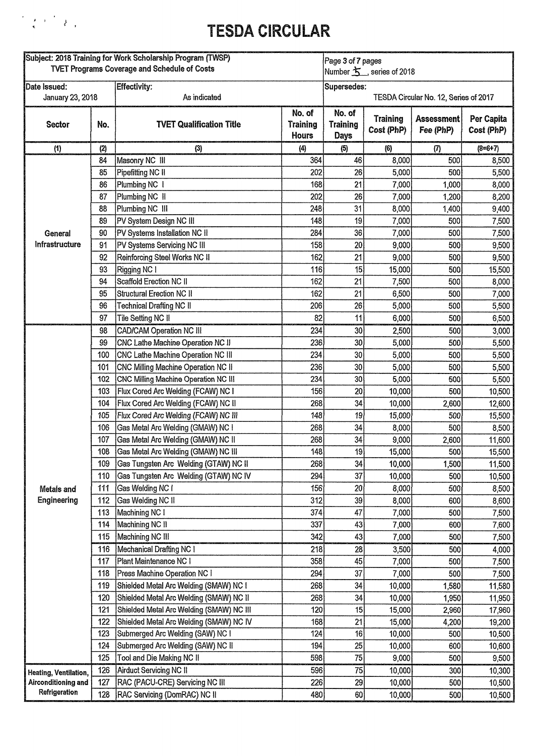### $\frac{1}{\sqrt{2}}\left(\frac{1}{\sqrt{2}}\right)^{2}e^{-\frac{1}{2}\left(\frac{1}{\sqrt{2}}\right)^{2}}\left(\frac{1}{\sqrt{2}}\right)^{2}e^{-\frac{1}{2}\left(\frac{1}{\sqrt{2}}\right)^{2}}$

| Subject: 2018 Training for Work Scholarship Program (TWSP)<br><b>TVET Programs Coverage and Schedule of Costs</b> |     |                                          |                                           | Page 3 of 7 pages<br>Number $\mathbf{\hat{S}}$ , series of 2018 |                               |                                |                          |  |
|-------------------------------------------------------------------------------------------------------------------|-----|------------------------------------------|-------------------------------------------|-----------------------------------------------------------------|-------------------------------|--------------------------------|--------------------------|--|
|                                                                                                                   |     |                                          |                                           |                                                                 |                               |                                |                          |  |
| Date Issued:<br>As indicated<br>January 23, 2018                                                                  |     | <b>Effectivity:</b>                      |                                           | Supersedes:<br>TESDA Circular No. 12, Series of 2017            |                               |                                |                          |  |
| Sector                                                                                                            | No. | <b>TVET Qualification Title</b>          | No. of<br><b>Training</b><br><b>Hours</b> | No. of<br><b>Training</b><br><b>Days</b>                        | <b>Training</b><br>Cost (PhP) | <b>Assessment</b><br>Fee (PhP) | Per Capita<br>Cost (PhP) |  |
| (1)                                                                                                               | (2) | (3)                                      | (4)                                       | (5)                                                             | (6)                           | (7)                            | $(8=6+7)$                |  |
|                                                                                                                   | 84  | Masonry NC III                           | 364                                       | 46                                                              | 8,000                         | 500                            | 8,500                    |  |
|                                                                                                                   | 85  | Pipefitting NC II                        | 202                                       | 26                                                              | 5,000                         | 500                            | 5,500                    |  |
|                                                                                                                   | 86  | Plumbing NC 1                            | 168                                       | 21                                                              | 7,000                         | 1,000                          | 8,000                    |  |
|                                                                                                                   | 87  | Plumbing NC II                           | 202                                       | 26                                                              | 7,000                         | 1,200                          | 8,200                    |  |
|                                                                                                                   | 88  | Plumbing NC III                          | 248                                       | 31                                                              | 8,000                         | 1,400                          | 9,400                    |  |
|                                                                                                                   | 89  | PV System Design NC III                  | 148                                       | 19                                                              | 7,000                         | 500                            | 7,500                    |  |
| General                                                                                                           | 90  | PV Systems Installation NC II            | 284                                       | 36                                                              | 7,000                         | 500                            | 7,500                    |  |
| <b>Infrastructure</b>                                                                                             | 91  | PV Systems Servicing NC III              | 158                                       | 20                                                              | 9,000                         | 500                            | 9,500                    |  |
|                                                                                                                   | 92  | Reinforcing Steel Works NC II            | 162                                       | 21                                                              | 9,000                         | 500                            | 9,500                    |  |
|                                                                                                                   | 93  | Rigging NC I                             | 116                                       | 15                                                              | 15,000                        | 500                            | 15,500                   |  |
|                                                                                                                   | 94  | Scaffold Erection NC II                  | 162                                       | 21                                                              | 7,500                         | 500                            | 8,000                    |  |
|                                                                                                                   | 95  | Structural Erection NC II                | 162                                       | 21                                                              | 6,500                         | 500                            | 7,000                    |  |
|                                                                                                                   | 96  | <b>Technical Drafting NC II</b>          | 206                                       | 26                                                              | 5,000                         | 500                            | 5,500                    |  |
|                                                                                                                   | 97  | Tile Setting NC II                       | 82                                        | 11                                                              | 6,000                         | 500                            | 6,500                    |  |
|                                                                                                                   | 98  | <b>CAD/CAM Operation NC III</b>          | 234                                       | 30                                                              | 2,500                         | 500                            | 3,000                    |  |
|                                                                                                                   | 99  | CNC Lathe Machine Operation NC II        | 236                                       | 30                                                              | 5,000                         | 500                            | 5,500                    |  |
|                                                                                                                   | 100 | CNC Lathe Machine Operation NC III       | 234                                       | 30                                                              | 5,000                         | 500                            | 5,500                    |  |
|                                                                                                                   | 101 | CNC Milling Machine Operation NC II      | 236                                       | 30                                                              | 5,000                         | 500                            | 5,500                    |  |
|                                                                                                                   | 102 | CNC Milling Machine Operation NC III     | 234                                       | 30                                                              | 5,000                         | 500                            | 5,500                    |  |
|                                                                                                                   | 103 | Flux Cored Arc Welding (FCAW) NC I       | 156                                       | 20                                                              | 10,000                        | 500                            | 10,500                   |  |
|                                                                                                                   | 104 | Flux Cored Arc Welding (FCAW) NC II      | 268                                       | 34                                                              | 10,000                        | 2,600                          | 12,600                   |  |
|                                                                                                                   | 105 | Flux Cored Arc Welding (FCAW) NC III     | 148                                       | 19                                                              | 15,000                        | 500                            | 15,500                   |  |
|                                                                                                                   | 106 | Gas Metal Arc Welding (GMAW) NC I        | 268                                       | 34                                                              | 8,000                         | 500                            | 8,500                    |  |
|                                                                                                                   | 107 | Gas Metal Arc Welding (GMAW) NC II       | 268                                       | 34                                                              | 9,000                         | 2,600                          | 11,600                   |  |
|                                                                                                                   | 108 | Gas Metal Arc Welding (GMAW) NC III      | 148                                       | 19                                                              | 15,000                        | 500                            | 15,500                   |  |
|                                                                                                                   | 109 | Gas Tungsten Arc Welding (GTAW) NC II    | 268                                       | 34                                                              | 10,000                        | 1,500                          | 11,500                   |  |
|                                                                                                                   | 110 | Gas Tungsten Arc Welding (GTAW) NC IV    | 294                                       | 37                                                              | 10,000                        | 500                            | 10,500                   |  |
| Metals and                                                                                                        | 111 | Gas Welding NC I                         | 156                                       | 20                                                              | 8,000                         | 500                            | 8,500                    |  |
| Engineering                                                                                                       | 112 | Gas Welding NC II                        | 312                                       | 39                                                              | 8,000                         | 600                            | 8,600                    |  |
|                                                                                                                   | 113 | Machining NC I                           | 374                                       | 47                                                              | 7,000                         | 500                            | 7,500                    |  |
|                                                                                                                   | 114 | Machining NC II                          | 337                                       | 43                                                              | 7,000                         | 600                            | 7,600                    |  |
|                                                                                                                   | 115 | Machining NC III                         | 342                                       | 43                                                              | 7,000                         | 500                            | 7,500                    |  |
|                                                                                                                   | 116 | Mechanical Drafting NC I                 | 218                                       | 28                                                              | 3,500                         | 500                            | 4,000                    |  |
|                                                                                                                   | 117 | Plant Maintenance NC I                   | 358                                       | 45                                                              | 7,000                         | 500                            | 7,500                    |  |
|                                                                                                                   | 118 | Press Machine Operation NC I             | 294                                       | 37                                                              | 7,000                         | 500                            | 7,500                    |  |
|                                                                                                                   | 119 | Shielded Metal Arc Welding (SMAW) NC I   | 268                                       | 34                                                              | 10,000                        | 1,580                          | 11,580                   |  |
|                                                                                                                   | 120 | Shielded Metal Arc Welding (SMAW) NC II  | 268                                       | 34                                                              | 10,000                        | 1,950                          | 11,950                   |  |
|                                                                                                                   | 121 | Shielded Metal Arc Welding (SMAW) NC III | 120                                       | 15                                                              | 15,000                        | 2,960                          | 17,960                   |  |
|                                                                                                                   | 122 | Shielded Metal Arc Welding (SMAW) NC IV  | 168                                       | 21                                                              | 15,000                        | 4,200                          | 19,200                   |  |
|                                                                                                                   | 123 | Submerged Arc Welding (SAW) NC I         | 124                                       | 16                                                              | 10,000                        | 500                            | 10,500                   |  |
|                                                                                                                   | 124 | Submerged Arc Welding (SAW) NC II        | 194                                       | 25                                                              | 10,000                        | 600                            | 10,600                   |  |
|                                                                                                                   | 125 | Tool and Die Making NC II                | 598                                       | 75                                                              | 9,000                         | 500                            | 9,500                    |  |
| Heating, Ventilation,                                                                                             | 126 | Airduct Servicing NC II                  | 596                                       | 75                                                              | 10,000                        | 300                            | 10,300                   |  |
| Airconditioning and                                                                                               | 127 | RAC (PACU-CRE) Servicing NC III          | 226                                       | 29                                                              | 10,000                        | 500                            | 10,500                   |  |
| Refrigeration                                                                                                     | 128 | RAC Servicing (DomRAC) NC II             | 480                                       | 60                                                              | 10,000                        | 500                            | 10,500                   |  |
|                                                                                                                   |     |                                          |                                           |                                                                 |                               |                                |                          |  |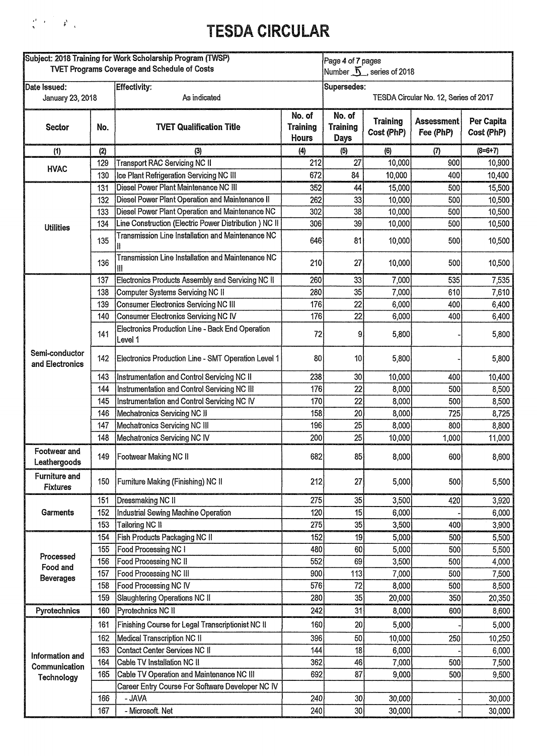

| Subject: 2018 Training for Work Scholarship Program (TWSP)<br><b>TVET Programs Coverage and Schedule of Costs</b> |     |                                                             |                                    | Page 4 of 7 pages                 | Number $\tilde{\mathbf{L}}$ , series of 2018 |                                       |                          |
|-------------------------------------------------------------------------------------------------------------------|-----|-------------------------------------------------------------|------------------------------------|-----------------------------------|----------------------------------------------|---------------------------------------|--------------------------|
| Date Issued:<br>January 23, 2018                                                                                  |     | Effectivity:<br>As indicated                                |                                    | Supersedes:                       |                                              | TESDA Circular No. 12, Series of 2017 |                          |
| <b>Sector</b>                                                                                                     | No. | <b>TVET Qualification Title</b>                             | No. of<br><b>Training</b><br>Hours | No. of<br><b>Training</b><br>Days | <b>Training</b><br>Cost (PhP)                | <b>Assessment</b><br>Fee (PhP)        | Per Capita<br>Cost (PhP) |
| (1)                                                                                                               | (2) | (3)                                                         | (4)                                | (5)                               | (6)                                          | (7)                                   | $(8=6+7)$                |
| <b>HVAC</b>                                                                                                       | 129 | Transport RAC Servicing NC II                               | 212                                | 27                                | 10,000                                       | 900                                   | 10,900                   |
|                                                                                                                   | 130 | Ice Plant Refrigeration Servicing NC III                    | 672                                | 84                                | 10,000                                       | 400                                   | 10,400                   |
|                                                                                                                   | 131 | Diesel Power Plant Maintenance NC III                       | 352                                | 44                                | 15,000                                       | 500                                   | 15,500                   |
|                                                                                                                   | 132 | Diesel Power Plant Operation and Maintenance II             | 262                                | 33                                | 10,000                                       | 500                                   | 10,500                   |
|                                                                                                                   | 133 | Diesel Power Plant Operation and Maintenance NC             | 302                                | 38                                | 10,000                                       | 500                                   | 10,500                   |
| <b>Utilities</b>                                                                                                  | 134 | Line Construction (Electric Power Distribution) NC II       | 306                                | 39                                | 10,000                                       | 500                                   | 10,500                   |
|                                                                                                                   | 135 | Transmission Line Installation and Maintenance NC           | 646                                | 81                                | 10,000                                       | 500                                   | 10,500                   |
|                                                                                                                   | 136 | Transmission Line Installation and Maintenance NC<br>Ш      | 210                                | 27                                | 10,000                                       | 500                                   | 10,500                   |
|                                                                                                                   | 137 | Electronics Products Assembly and Servicing NC II           | 260                                | 33                                | 7,000                                        | 535                                   | 7,535                    |
|                                                                                                                   | 138 | Computer Systems Servicing NC II                            | 280                                | 35                                | 7,000                                        | 610                                   | 7,610                    |
|                                                                                                                   | 139 | Consumer Electronics Servicing NC III                       | 176                                | 22                                | 6,000                                        | 400                                   | 6,400                    |
|                                                                                                                   | 140 | Consumer Electronics Servicing NC IV                        | 176                                | 22                                | 6,000                                        | 400                                   | 6,400                    |
|                                                                                                                   | 141 | Electronics Production Line - Back End Operation<br>Level 1 | 72                                 | 9.                                | 5,800                                        |                                       | 5,800                    |
| Semi-conductor<br>and Electronics                                                                                 | 142 | Electronics Production Line - SMT Operation Level 1         | 80                                 | 10 <sub>1</sub>                   | 5,800                                        |                                       | 5,800                    |
|                                                                                                                   | 143 | Instrumentation and Control Servicing NC II                 | 238                                | 30                                | 10,000                                       | 400                                   | 10,400                   |
|                                                                                                                   | 144 | Instrumentation and Control Servicing NC III                | 176                                | 22                                | 8,000                                        | 500                                   | 8,500                    |
|                                                                                                                   | 145 | Instrumentation and Control Servicing NC IV                 | 170                                | 22                                | 8,000                                        | 500                                   | 8,500                    |
|                                                                                                                   | 146 | Mechatronics Servicing NC II                                | 158                                | 20                                | 8,000                                        | 725                                   | 8,725                    |
|                                                                                                                   | 147 | Mechatronics Servicing NC III                               | 196                                | 25                                | 8,000                                        | 800                                   | 8,800                    |
|                                                                                                                   | 148 | Mechatronics Servicing NC IV                                | 200                                | 25                                | 10,000                                       | 1,000                                 | 11,000                   |
| Footwear and<br>Leathergoods                                                                                      |     | 149   Footwear Making NC II                                 | 682                                | 85                                | 8,000                                        | 600                                   | 8,600                    |
| <b>Furniture and</b><br><b>Fixtures</b>                                                                           | 150 | Furniture Making (Finishing) NC II                          | 212                                | 27                                | 5,000                                        | 500                                   | 5,500                    |
|                                                                                                                   | 151 | <b>Dressmaking NC II</b>                                    | 275                                | 35                                | 3,500                                        | 420                                   | 3,920                    |
| Garments                                                                                                          | 152 | Industrial Sewing Machine Operation                         | 120                                | 15                                | 6,000                                        |                                       | 6,000                    |
|                                                                                                                   | 153 | Tailoring NC II                                             | 275                                | 35                                | 3,500                                        | 400                                   | 3,900                    |
|                                                                                                                   | 154 | Fish Products Packaging NC II                               | 152                                | 19                                | 5,000                                        | 500                                   | 5,500                    |
|                                                                                                                   | 155 | Food Processing NC I                                        | 480                                | 60                                | 5,000                                        | 500                                   | 5,500                    |
| Processed<br>Food and                                                                                             | 156 | Food Processing NC II                                       | 552                                | 69                                | 3,500                                        | 500                                   | 4,000                    |
| <b>Beverages</b>                                                                                                  | 157 | Food Processing NC III                                      | 900                                | 113                               | 7,000                                        | 500                                   | 7,500                    |
|                                                                                                                   | 158 | Food Processing NC IV                                       | 576                                | 72                                | 8,000                                        | 500                                   | 8,500                    |
|                                                                                                                   | 159 | Slaughtering Operations NC II                               | 280                                | 35                                | 20,000                                       | 350                                   | 20,350                   |
| Pyrotechnics                                                                                                      | 160 | Pyrotechnics NC II                                          | 242                                | 31                                | 8,000                                        | 600                                   | 8,600                    |
|                                                                                                                   | 161 | Finishing Course for Legal Transcriptionist NC II           | 160                                | 20                                | 5,000                                        |                                       | 5,000                    |
|                                                                                                                   | 162 | Medical Transcription NC II                                 | 396                                | 50                                | 10,000                                       | 250                                   | 10,250                   |
|                                                                                                                   | 163 | Contact Center Services NC II                               | 144                                | 18                                | 6,000                                        |                                       | 6,000                    |
| Information and<br>Communication                                                                                  | 164 | Cable TV Installation NC II                                 | 362                                | 46                                | 7,000                                        | 500                                   | 7,500                    |
| Technology                                                                                                        | 165 | Cable TV Operation and Maintenance NC III                   | 692                                | 87                                | 9,000                                        | 500                                   | 9,500                    |
|                                                                                                                   |     | Career Entry Course For Software Developer NC IV            |                                    |                                   |                                              |                                       |                          |
|                                                                                                                   | 166 | - JAVA                                                      | 240                                | 30                                | 30,000                                       |                                       | 30,000                   |
|                                                                                                                   | 167 | - Microsoft. Net                                            | 240                                | 30                                | 30,000                                       |                                       | 30,000                   |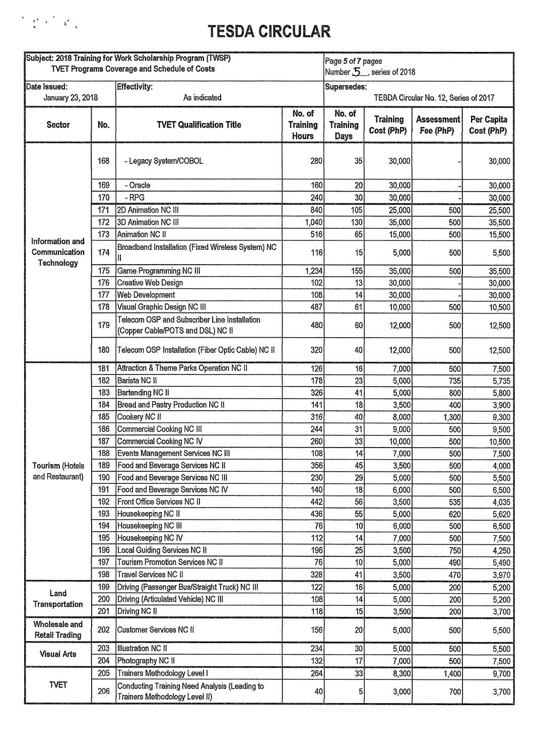

| Subject: 2018 Training for Work Scholarship Program (TWSP)<br><b>TVET Programs Coverage and Schedule of Costs</b> |     |                                                                                   | Page 5 of 7 pages<br>Number 5, series of 2018 |                                   |                               |                                       |                          |
|-------------------------------------------------------------------------------------------------------------------|-----|-----------------------------------------------------------------------------------|-----------------------------------------------|-----------------------------------|-------------------------------|---------------------------------------|--------------------------|
| Date Issued:<br>January 23, 2018                                                                                  |     | <b>Effectivity:</b><br>As indicated                                               |                                               | Supersedes:                       |                               | TESDA Circular No. 12, Series of 2017 |                          |
| Sector                                                                                                            | No. | <b>TVET Qualification Title</b>                                                   | No. of<br><b>Training</b><br><b>Hours</b>     | No. of<br><b>Training</b><br>Days | <b>Training</b><br>Cost (PhP) | <b>Assessment</b><br>Fee (PhP)        | Per Capita<br>Cost (PhP) |
|                                                                                                                   | 168 | - Legacy System/COBOL                                                             | 280                                           | 35                                | 30,000                        |                                       | 30,000                   |
|                                                                                                                   | 169 | - Oracle                                                                          | 160                                           | 20                                | 30,000                        |                                       | 30,000                   |
|                                                                                                                   | 170 | - RPG                                                                             | 240                                           | 30                                | 30,000                        |                                       | 30,000                   |
|                                                                                                                   | 171 | 2D Animation NC III                                                               | 840                                           | 105                               | 25,000                        | 500                                   | 25,500                   |
|                                                                                                                   | 172 | 3D Animation NC III                                                               | 1,040                                         | 130                               | 35,000                        | 500                                   | 35,500                   |
|                                                                                                                   | 173 | Animation NC II                                                                   | 516                                           | 65                                | 15,000                        | 500                                   | 15,500                   |
| Information and<br>Communication<br>Technology                                                                    | 174 | Broadband Installation (Fixed Wireless System) NC                                 | 116                                           | 15                                | 5,000                         | 500                                   | 5,500                    |
|                                                                                                                   | 175 | Game Programming NC III                                                           | 1,234                                         | 155                               | 35,000                        | 500                                   | 35,500                   |
|                                                                                                                   | 176 | Creative Web Design                                                               | 102                                           | 13                                | 30,000                        |                                       | 30,000                   |
|                                                                                                                   | 177 | <b>Web Development</b>                                                            | 108                                           | 14                                | 30,000                        |                                       | 30,000                   |
|                                                                                                                   | 178 | Visual Graphic Design NC III                                                      | 487                                           | 61                                | 10,000                        | 500                                   | 10,500                   |
|                                                                                                                   | 179 | Telecom OSP and Subscriber Line Installation<br>(Copper Cable/POTS and DSL) NC II | 480                                           | 60                                | 12,000                        | 500                                   | 12,500                   |
|                                                                                                                   | 180 | Telecom OSP Installation (Fiber Optic Cable) NC II                                | 320                                           | 40                                | 12,000                        | 500                                   | 12,500                   |
|                                                                                                                   | 181 | Attraction & Theme Parks Operation NC II                                          | 126                                           | 16                                | 7,000                         | 500                                   | 7,500                    |
|                                                                                                                   | 182 | Barista NC II                                                                     | 178                                           | 23                                | 5,000                         | 735                                   | 5,735                    |
|                                                                                                                   | 183 | Bartending NC II                                                                  | 326                                           | 41                                | 5,000                         | 800                                   | 5,800                    |
|                                                                                                                   | 184 | Bread and Pastry Production NC II                                                 | 141                                           | 18                                | 3,500                         | 400                                   | 3,900                    |
|                                                                                                                   | 185 | Cookery NC II                                                                     | 316                                           | 40                                | 8,000                         | 1,300                                 | 9,300                    |
|                                                                                                                   | 186 | Commercial Cooking NC III                                                         | 244                                           | 31                                | 9,000                         | 500                                   | 9,500                    |
|                                                                                                                   | 187 | Commercial Cooking NC IV                                                          | 260                                           | 33                                | 10,000                        | 500                                   | 10,500                   |
|                                                                                                                   | 188 | Events Management Services NC III                                                 | 108                                           | 4                                 | 7,000                         | 500                                   | 7,500                    |
| Tourism (Hotels                                                                                                   | 189 | Food and Beverage Services NC II                                                  | 356                                           | 45                                | 3,500                         | 500                                   | 4,000                    |
| and Restaurant)                                                                                                   | 190 | Food and Beverage Services NC III                                                 | 230                                           | 29                                | 5,000                         | 500                                   | 5,500                    |
|                                                                                                                   | 191 | Food and Beverage Services NC IV                                                  | 140                                           | 18                                | 6,000                         | 500                                   | 6,500                    |
|                                                                                                                   | 192 | Front Office Services NC II                                                       | 442                                           | 56                                | 3,500                         | 535                                   | 4,035                    |
|                                                                                                                   | 193 | Housekeeping NC II                                                                | 436                                           | 55                                | 5,000                         | 620                                   | 5,620                    |
|                                                                                                                   | 194 | Housekeeping NC III                                                               | 76                                            | 10                                | 6,000                         | 500                                   | 6,500                    |
|                                                                                                                   | 195 | Housekeeping NC IV                                                                | 112                                           | 14                                | 7,000                         | 500                                   | 7,500                    |
|                                                                                                                   | 196 | <b>Local Guiding Services NC II</b>                                               | 196                                           | 25                                | 3,500                         | 750                                   | 4,250                    |
|                                                                                                                   | 197 | <b>Tourism Promotion Services NC II</b>                                           | 76                                            | 10                                | 5,000                         | 490                                   | 5,490                    |
|                                                                                                                   | 198 | Travel Services NC II                                                             | 328                                           | 41                                | 3,500                         | 470                                   | 3,970                    |
| Land                                                                                                              | 199 | Driving (Passenger Bus/Straight Truck) NC III                                     | 122                                           | 16                                | 5,000                         | 200                                   | 5,200                    |
| Transportation                                                                                                    | 200 | Driving (Articulated Vehicle) NC III                                              | 108                                           | 14                                | 5,000                         | 200                                   | 5,200                    |
|                                                                                                                   | 201 | Driving NC II                                                                     | 118                                           | 15                                | 3,500                         | 200                                   | 3,700                    |
| Wholesale and<br><b>Retail Trading</b>                                                                            | 202 | <b>Customer Services NC II</b>                                                    | 156                                           | 20                                | 5,000                         | 500                                   | 5,500                    |
| <b>Visual Arts</b>                                                                                                | 203 | <b>Illustration NC II</b>                                                         | 234                                           | 30                                | 5,000                         | 500                                   | 5,500                    |
|                                                                                                                   | 204 | Photography NC II                                                                 | 132                                           | 17                                | 7,000                         | 500                                   | 7,500                    |
|                                                                                                                   | 205 | <b>Trainers Methodology Level I</b>                                               | 264                                           | 33                                | 8,300                         | 1,400                                 | 9,700                    |
| <b>TVET</b>                                                                                                       | 206 | Conducting Training Need Analysis (Leading to<br>Trainers Methodology Level II)   | 40                                            | 5                                 | 3,000                         | 700                                   | 3,700                    |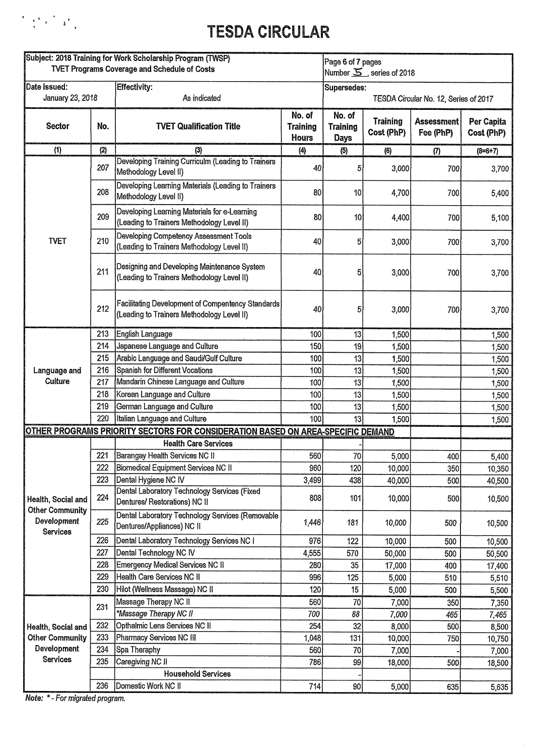

| Subject: 2018 Training for Work Scholarship Program (TWSP)<br><b>TVET Programs Coverage and Schedule of Costs</b> |            |                                                                                                 | Page 6 of 7 pages<br>Number $\overline{5}$ , series of 2018 |                                                      |                               |                                |                          |
|-------------------------------------------------------------------------------------------------------------------|------------|-------------------------------------------------------------------------------------------------|-------------------------------------------------------------|------------------------------------------------------|-------------------------------|--------------------------------|--------------------------|
| <b>IDate Issued:</b><br>January 23, 2018                                                                          |            | <b>Effectivity:</b><br>As indicated                                                             |                                                             | Supersedes:<br>TESDA Circular No. 12, Series of 2017 |                               |                                |                          |
| <b>Sector</b>                                                                                                     | No.        | <b>TVET Qualification Title</b>                                                                 | No. of<br><b>Training</b><br><b>Hours</b>                   | No. of<br><b>Training</b><br>Days                    | <b>Training</b><br>Cost (PhP) | <b>Assessment</b><br>Fee (PhP) | Per Capita<br>Cost (PhP) |
| (1)                                                                                                               | (2)        | $\{3\}$                                                                                         | $\left( 4 \right)$                                          | (5)                                                  | (6)                           | (7)                            | $(8=6+7)$                |
|                                                                                                                   | 207        | Developing Training Curriculm (Leading to Trainers<br>Methodology Level II)                     | 40                                                          | 5                                                    | 3,000                         | 700                            | 3,700                    |
|                                                                                                                   | 208        | Developing Learning Materials (Leading to Trainers<br>Methodology Level II)                     | 80                                                          | 10                                                   | 4,700                         | 700                            | 5,400                    |
|                                                                                                                   | 209        | Developing Learning Materials for e-Learning<br>(Leading to Trainers Methodology Level II)      | 80                                                          | 10                                                   | 4,400                         | 700                            | 5,100                    |
| <b>TVET</b>                                                                                                       | 210        | Developing Competency Assessment Tools<br>(Leading to Trainers Methodology Level II)            | 40                                                          | 51                                                   | 3,000                         | 700                            | 3,700                    |
|                                                                                                                   | 211        | Designing and Developing Maintenance System<br>(Leading to Trainers Methodology Level II)       | 40                                                          | 5                                                    | 3,000                         | 700                            | 3,700                    |
|                                                                                                                   | 212        | Facilitating Development of Compentency Standards<br>(Leading to Trainers Methodology Level II) | 40                                                          | 5,                                                   | 3,000                         | 700                            | 3,700                    |
|                                                                                                                   | 213        | English Language                                                                                | 100                                                         | 13                                                   | 1,500                         |                                | 1,500                    |
|                                                                                                                   | 214        | Japanese Language and Culture                                                                   | 150                                                         | 19                                                   | 1,500                         |                                | 1,500                    |
|                                                                                                                   | 215        | Arabic Language and Saudi/Gulf Culture                                                          | 100                                                         | 13                                                   | 1,500                         |                                | 1,500                    |
| Language and                                                                                                      | 216        | <b>Spanish for Different Vocations</b>                                                          | 100                                                         | 13                                                   | 1,500                         |                                | 1,500                    |
| Culture                                                                                                           | 217        | Mandarin Chinese Language and Culture                                                           | 100                                                         | 13                                                   | 1,500                         |                                | 1,500                    |
|                                                                                                                   | 218        | Korean Language and Culture                                                                     | 100                                                         | 13                                                   | 1,500                         |                                | 1,500                    |
|                                                                                                                   | 219        | German Language and Culture                                                                     | 100                                                         | 13                                                   | 1,500                         |                                | 1,500                    |
|                                                                                                                   | 220        | Italian Language and Culture                                                                    | 100                                                         | 13                                                   | 1,500                         |                                | 1,500                    |
|                                                                                                                   |            | <u>OTHER PROGRAMS PRIORITY SECTORS FOR CONSIDERATION BASED ON AREA-SPECIFIC DEMAND</u>          |                                                             |                                                      |                               |                                |                          |
|                                                                                                                   |            | <b>Health Care Services</b>                                                                     |                                                             |                                                      |                               |                                |                          |
|                                                                                                                   |            | 221 Barangay Health Services NC II                                                              | 560                                                         | 70                                                   | 5,000                         | 400                            | 5,400                    |
|                                                                                                                   | 222        | Biomedical Equipment Services NC II                                                             | 960                                                         | 120                                                  | 10,000                        | 350                            | 10,350                   |
|                                                                                                                   | 223        | Dental Hygiene NC IV                                                                            | 3,499                                                       | 438                                                  | 40,000                        | 500                            | 40,500                   |
| Health, Social and<br><b>Other Community</b>                                                                      | 224        | Dental Laboratory Technology Services (Fixed<br>Dentures/ Restorations) NC II                   | 808                                                         | 101                                                  | 10,000                        | 500                            | 10,500                   |
| Development<br>Services                                                                                           | 225        | Dental Laboratory Technology Services (Removable<br>Dentures/Appliances) NC II                  | 1,446                                                       | 181                                                  | 10,000                        | 500                            | 10,500                   |
|                                                                                                                   | 226        | Dental Laboratory Technology Services NC I                                                      | 976                                                         | 122                                                  | 10,000                        | 500                            | 10,500                   |
|                                                                                                                   | 227        | Dental Technology NC IV                                                                         | 4,555                                                       | 570                                                  | 50,000                        | 500                            | 50,500                   |
|                                                                                                                   | 228        | Emergency Medical Services NC II                                                                | 280                                                         | 35                                                   | 17,000                        | 400                            | 17,400                   |
|                                                                                                                   | 229        | Health Care Services NC II                                                                      | 996                                                         | 125                                                  | 5,000                         | 510                            | 5,510                    |
|                                                                                                                   | 230        | Hilot (Wellness Massage) NC II                                                                  | 120                                                         | 15                                                   | 5,000                         | 500                            | 5,500                    |
|                                                                                                                   | 231        | Massage Therapy NC II                                                                           | 560                                                         | 70                                                   | 7,000                         | 350                            | 7,350                    |
|                                                                                                                   |            | *Massage Therapy NC II                                                                          | 700                                                         | 88                                                   | 7,000                         | 465                            | 7,465                    |
| Health, Social and                                                                                                | 232        | Opthalmic Lens Services NC II                                                                   | 254                                                         | 32                                                   | 8,000                         | 500                            | 8,500                    |
| <b>Other Community</b><br>Development                                                                             | 233        | Pharmacy Services NC III                                                                        | 1,048                                                       | 131                                                  | 10,000                        | 750                            | 10,750                   |
| Services                                                                                                          | 234<br>235 | Spa Theraphy<br>Caregiving NC II                                                                | 560                                                         | 70                                                   | 7,000                         |                                | 7,000                    |
|                                                                                                                   |            | <b>Household Services</b>                                                                       | 786                                                         | 99                                                   | 18,000                        | 500                            | 18,500                   |
|                                                                                                                   | 236        | Domestic Work NC II                                                                             | 714                                                         | 90 <sub>0</sub>                                      |                               |                                |                          |
|                                                                                                                   |            |                                                                                                 |                                                             |                                                      | 5,000                         | 635                            | 5,635                    |

 $\hat{\mathcal{A}}$ 

**Note: \*- For** *migrated program.*